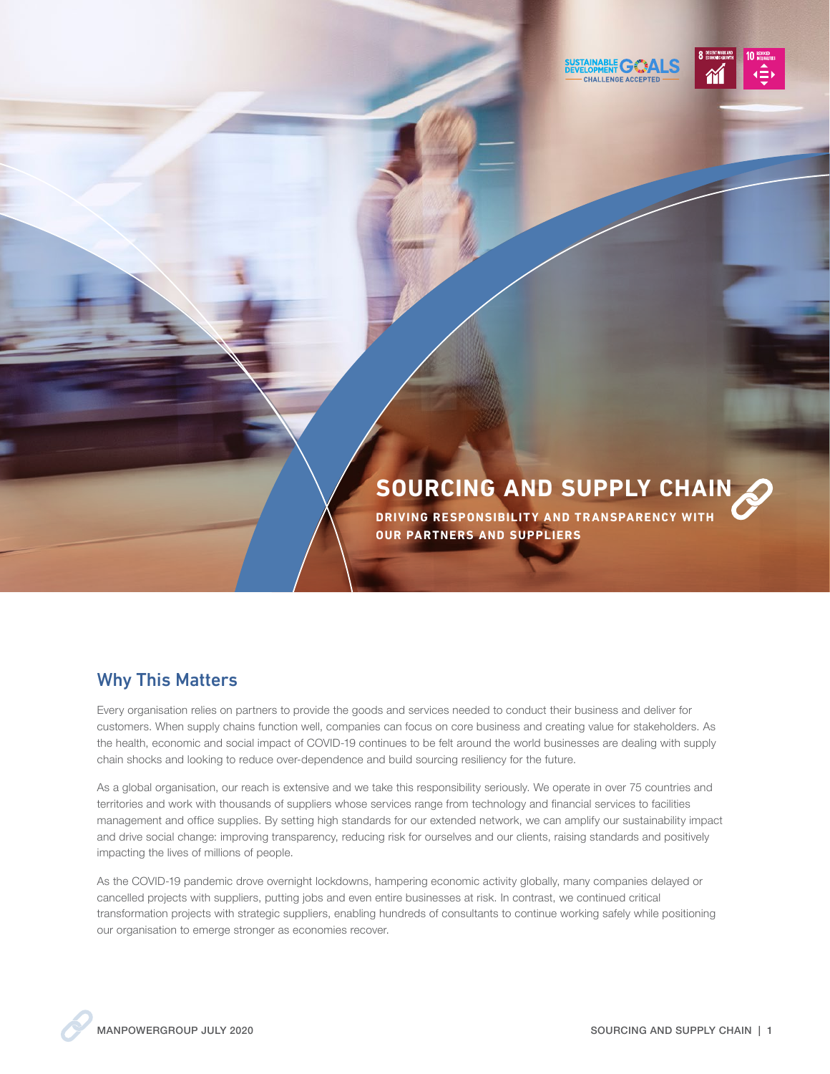SUSTAINABLE GO



## **SOURCING AND SUPPLY CHAIN**

**DRIVING RESPONSIBILITY AND TRANSPARENCY WITH OUR PARTNERS AND SUPPLIERS**

## Why This Matters

Every organisation relies on partners to provide the goods and services needed to conduct their business and deliver for customers. When supply chains function well, companies can focus on core business and creating value for stakeholders. As the health, economic and social impact of COVID-19 continues to be felt around the world businesses are dealing with supply chain shocks and looking to reduce over-dependence and build sourcing resiliency for the future.

As a global organisation, our reach is extensive and we take this responsibility seriously. We operate in over 75 countries and territories and work with thousands of suppliers whose services range from technology and financial services to facilities management and office supplies. By setting high standards for our extended network, we can amplify our sustainability impact and drive social change: improving transparency, reducing risk for ourselves and our clients, raising standards and positively impacting the lives of millions of people.

As the COVID-19 pandemic drove overnight lockdowns, hampering economic activity globally, many companies delayed or cancelled projects with suppliers, putting jobs and even entire businesses at risk. In contrast, we continued critical transformation projects with strategic suppliers, enabling hundreds of consultants to continue working safely while positioning our organisation to emerge stronger as economies recover.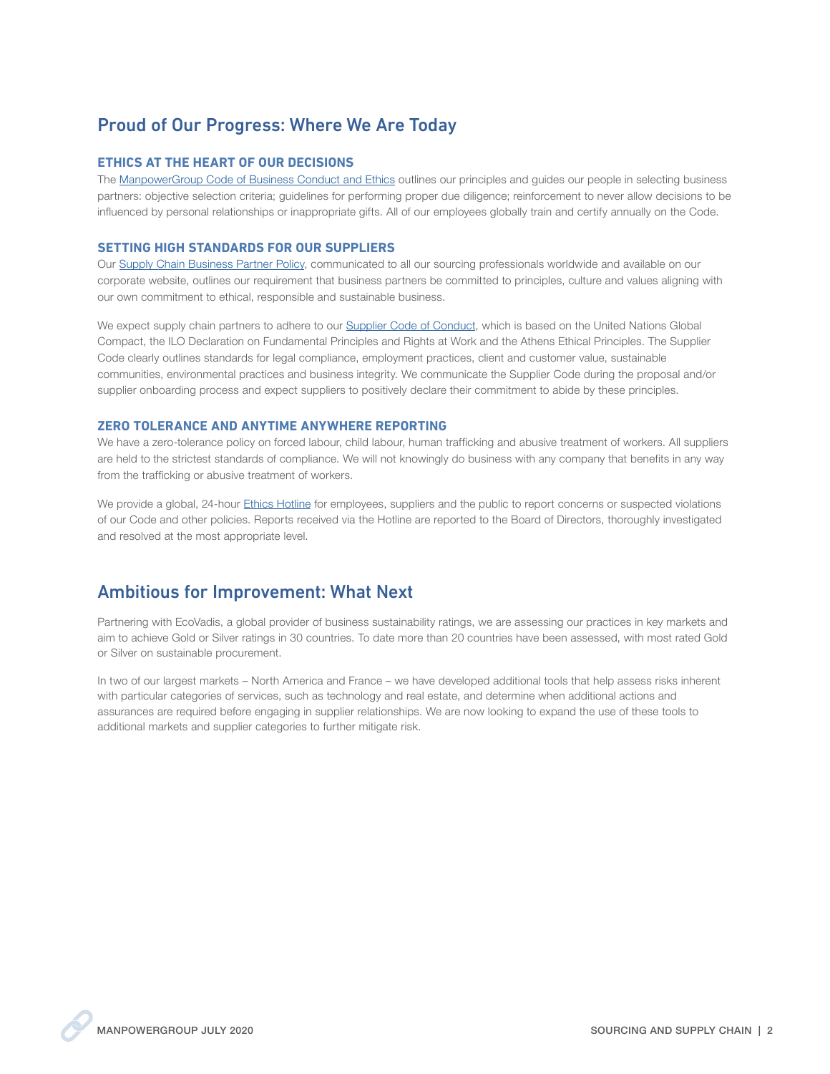## Proud of Our Progress: Where We Are Today

#### **ETHICS AT THE HEART OF OUR DECISIONS**

The [ManpowerGroup Code of Business Conduct and Ethics](https://www.manpowergroup.com/ethics/code-of-business-conduct-and-ethics) outlines our principles and guides our people in selecting business partners: objective selection criteria; guidelines for performing proper due diligence; reinforcement to never allow decisions to be influenced by personal relationships or inappropriate gifts. All of our employees globally train and certify annually on the Code.

#### **SETTING HIGH STANDARDS FOR OUR SUPPLIERS**

Our [Supply Chain Business Partner Policy,](https://www.manpowergroup.com/wcm/connect/8f06ffef-7a67-42f9-83f9-0c7ca9a76c5c/Supply%2BChain%2BPolicy.pdf?MOD=AJPERES&CVID=mR5Y9oX) communicated to all our sourcing professionals worldwide and available on our corporate website, outlines our requirement that business partners be committed to principles, culture and values aligning with our own commitment to ethical, responsible and sustainable business.

We expect supply chain partners to adhere to our [Supplier Code of Conduct,](https://www.manpowergroup.com/wcm/connect/8f06ffef-7a67-42f9-83f9-0c7ca9a76c5c/Supply%2BChain%2BPolicy.pdf?MOD=AJPERES&CVID=mR5Y9oX) which is based on the United Nations Global Compact, the ILO Declaration on Fundamental Principles and Rights at Work and the Athens Ethical Principles. The Supplier Code clearly outlines standards for legal compliance, employment practices, client and customer value, sustainable communities, environmental practices and business integrity. We communicate the Supplier Code during the proposal and/or supplier onboarding process and expect suppliers to positively declare their commitment to abide by these principles.

#### **ZERO TOLERANCE AND ANYTIME ANYWHERE REPORTING**

We have a zero-tolerance policy on forced labour, child labour, human trafficking and abusive treatment of workers. All suppliers are held to the strictest standards of compliance. We will not knowingly do business with any company that benefits in any way from the trafficking or abusive treatment of workers.

We provide a global, 24-hour [Ethics Hotline](https://www.manpowergroup.com/ethics/business-ethics-hotline) for employees, suppliers and the public to report concerns or suspected violations of our Code and other policies. Reports received via the Hotline are reported to the Board of Directors, thoroughly investigated and resolved at the most appropriate level.

### Ambitious for Improvement: What Next

Partnering with EcoVadis, a global provider of business sustainability ratings, we are assessing our practices in key markets and aim to achieve Gold or Silver ratings in 30 countries. To date more than 20 countries have been assessed, with most rated Gold or Silver on sustainable procurement.

In two of our largest markets – North America and France – we have developed additional tools that help assess risks inherent with particular categories of services, such as technology and real estate, and determine when additional actions and assurances are required before engaging in supplier relationships. We are now looking to expand the use of these tools to additional markets and supplier categories to further mitigate risk.